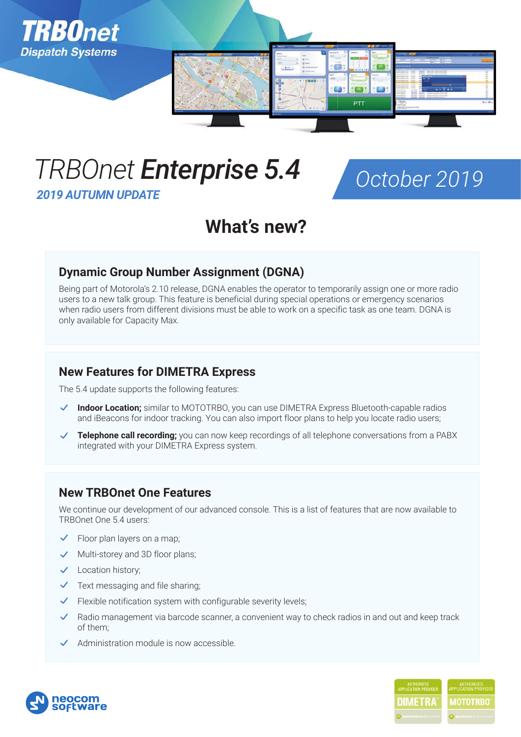

# *TRBOnet Enterprise 5.4*

*2019 AUTUMN UPDATE*



## **What's new?**

## **Dynamic Group Number Assignment (DGNA)**

Being part of Motorola's 2.10 release, DGNA enables the operator to temporarily assign one or more radio users to a new talk group. This feature is beneficial during special operations or emergency scenarios when radio users from different divisions must be able to work on a specific task as one team. DGNA is only available for Capacity Max.

## **New Features for DIMETRA Express**

The 5.4 update supports the following features:

- **Indoor Location;** similar to MOTOTRBO, you can use DIMETRA Express Bluetooth-capable radios and iBeacons for indoor tracking. You can also import floor plans to help you locate radio users;
- **Telephone call recording;** you can now keep recordings of all telephone conversations from a PABX integrated with your DIMETRA Express system.

## **New TRBOnet One Features**

We continue our development of our advanced console. This is a list of features that are now available to TRBOnet One 5.4 users:

- Floor plan layers on a map;
- $\vee$  Multi-storey and 3D floor plans;
- Location history;
- Text messaging and file sharing;  $\checkmark$
- $\checkmark$  Flexible notification system with configurable severity levels;
- Radio management via barcode scanner, a convenient way to check radios in and out and keep track  $\checkmark$ of them;
- $\checkmark$  Administration module is now accessible.